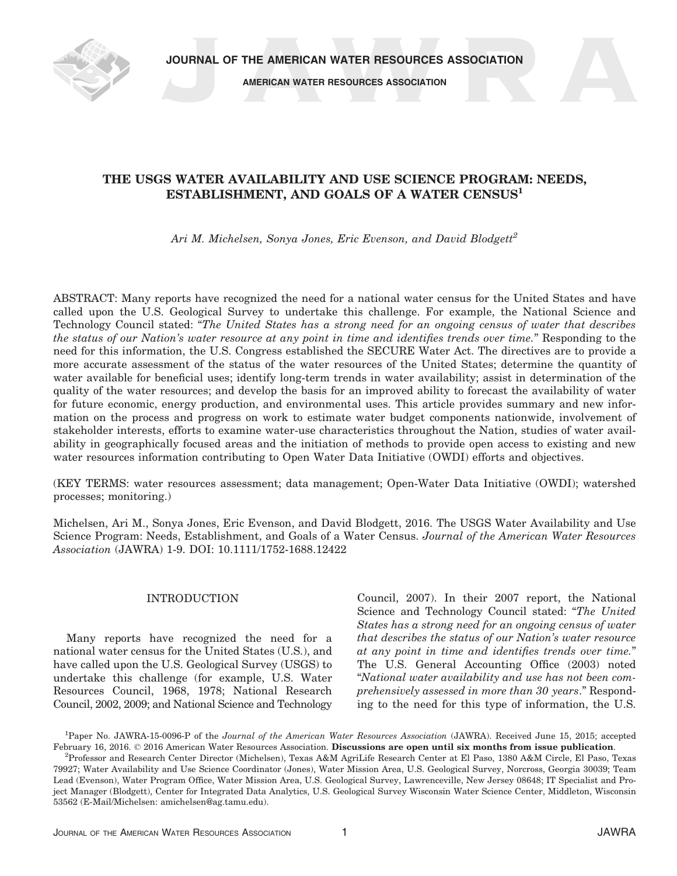

JOURNAL OF THE AMERICAN WATER RESOURCES ASSOCIATION

AMERICAN WATER RESOURCES ASSOCIATION

# THE USGS WATER AVAILABILITY AND USE SCIENCE PROGRAM: NEEDS, ESTABLISHMENT, AND GOALS OF A WATER CENSUS<sup>1</sup>

Ari M. Michelsen, Sonya Jones, Eric Evenson, and David Blodgett<sup>2</sup>

ABSTRACT: Many reports have recognized the need for a national water census for the United States and have called upon the U.S. Geological Survey to undertake this challenge. For example, the National Science and Technology Council stated: "The United States has a strong need for an ongoing census of water that describes the status of our Nation's water resource at any point in time and identifies trends over time." Responding to the need for this information, the U.S. Congress established the SECURE Water Act. The directives are to provide a more accurate assessment of the status of the water resources of the United States; determine the quantity of water available for beneficial uses; identify long-term trends in water availability; assist in determination of the quality of the water resources; and develop the basis for an improved ability to forecast the availability of water for future economic, energy production, and environmental uses. This article provides summary and new information on the process and progress on work to estimate water budget components nationwide, involvement of stakeholder interests, efforts to examine water-use characteristics throughout the Nation, studies of water availability in geographically focused areas and the initiation of methods to provide open access to existing and new water resources information contributing to Open Water Data Initiative (OWDI) efforts and objectives.

(KEY TERMS: water resources assessment; data management; Open-Water Data Initiative (OWDI); watershed processes; monitoring.)

Michelsen, Ari M., Sonya Jones, Eric Evenson, and David Blodgett, 2016. The USGS Water Availability and Use Science Program: Needs, Establishment, and Goals of a Water Census. Journal of the American Water Resources Association (JAWRA) 1-9. DOI: [10.1111/1752-1688.12422](info:doi/10.1111/1752-1688.12422)

#### INTRODUCTION

Many reports have recognized the need for a national water census for the United States (U.S.), and have called upon the U.S. Geological Survey (USGS) to undertake this challenge (for example, U.S. Water Resources Council, 1968, 1978; National Research Council, 2002, 2009; and National Science and Technology Council, 2007). In their 2007 report, the National Science and Technology Council stated: "The United States has a strong need for an ongoing census of water that describes the status of our Nation's water resource at any point in time and identifies trends over time." The U.S. General Accounting Office (2003) noted "National water availability and use has not been comprehensively assessed in more than 30 years." Responding to the need for this type of information, the U.S.

<sup>1</sup>Paper No. JAWRA-15-0096-P of the Journal of the American Water Resources Association (JAWRA). Received June 15, 2015; accepted February 16, 2016. © 2016 American Water Resources Association. Discussions are open until six months from issue publication.

Professor and Research Center Director (Michelsen), Texas A&M AgriLife Research Center at El Paso, 1380 A&M Circle, El Paso, Texas 79927; Water Availability and Use Science Coordinator (Jones), Water Mission Area, U.S. Geological Survey, Norcross, Georgia 30039; Team Lead (Evenson), Water Program Office, Water Mission Area, U.S. Geological Survey, Lawrenceville, New Jersey 08648; IT Specialist and Project Manager (Blodgett), Center for Integrated Data Analytics, U.S. Geological Survey Wisconsin Water Science Center, Middleton, Wisconsin 53562 (E-Mail/Michelsen: amichelsen@ag.tamu.edu).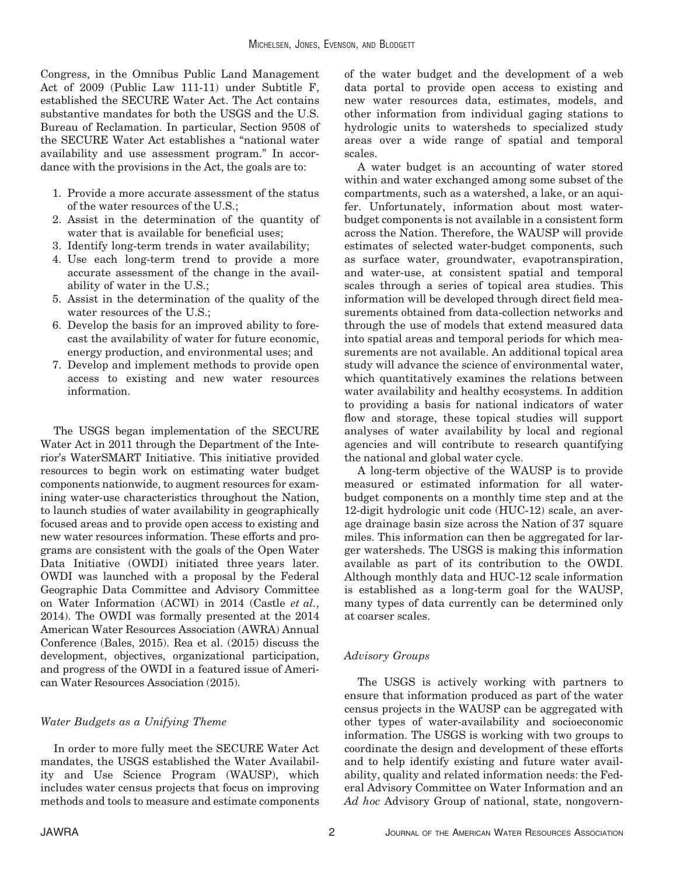Congress, in the Omnibus Public Land Management Act of 2009 (Public Law 111-11) under Subtitle F, established the SECURE Water Act. The Act contains substantive mandates for both the USGS and the U.S. Bureau of Reclamation. In particular, Section 9508 of the SECURE Water Act establishes a "national water availability and use assessment program." In accordance with the provisions in the Act, the goals are to:

- 1. Provide a more accurate assessment of the status of the water resources of the U.S.;
- 2. Assist in the determination of the quantity of water that is available for beneficial uses;
- 3. Identify long-term trends in water availability;
- 4. Use each long-term trend to provide a more accurate assessment of the change in the availability of water in the U.S.;
- 5. Assist in the determination of the quality of the water resources of the U.S.;
- 6. Develop the basis for an improved ability to forecast the availability of water for future economic, energy production, and environmental uses; and
- 7. Develop and implement methods to provide open access to existing and new water resources information.

The USGS began implementation of the SECURE Water Act in 2011 through the Department of the Interior's WaterSMART Initiative. This initiative provided resources to begin work on estimating water budget components nationwide, to augment resources for examining water-use characteristics throughout the Nation, to launch studies of water availability in geographically focused areas and to provide open access to existing and new water resources information. These efforts and programs are consistent with the goals of the Open Water Data Initiative (OWDI) initiated three years later. OWDI was launched with a proposal by the Federal Geographic Data Committee and Advisory Committee on Water Information (ACWI) in 2014 (Castle et al., 2014). The OWDI was formally presented at the 2014 American Water Resources Association (AWRA) Annual Conference (Bales, 2015). Rea et al. (2015) discuss the development, objectives, organizational participation, and progress of the OWDI in a featured issue of American Water Resources Association (2015).

## Water Budgets as a Unifying Theme

In order to more fully meet the SECURE Water Act mandates, the USGS established the Water Availability and Use Science Program (WAUSP), which includes water census projects that focus on improving methods and tools to measure and estimate components of the water budget and the development of a web data portal to provide open access to existing and new water resources data, estimates, models, and other information from individual gaging stations to hydrologic units to watersheds to specialized study areas over a wide range of spatial and temporal scales.

A water budget is an accounting of water stored within and water exchanged among some subset of the compartments, such as a watershed, a lake, or an aquifer. Unfortunately, information about most waterbudget components is not available in a consistent form across the Nation. Therefore, the WAUSP will provide estimates of selected water-budget components, such as surface water, groundwater, evapotranspiration, and water-use, at consistent spatial and temporal scales through a series of topical area studies. This information will be developed through direct field measurements obtained from data-collection networks and through the use of models that extend measured data into spatial areas and temporal periods for which measurements are not available. An additional topical area study will advance the science of environmental water, which quantitatively examines the relations between water availability and healthy ecosystems. In addition to providing a basis for national indicators of water flow and storage, these topical studies will support analyses of water availability by local and regional agencies and will contribute to research quantifying the national and global water cycle.

A long-term objective of the WAUSP is to provide measured or estimated information for all waterbudget components on a monthly time step and at the 12-digit hydrologic unit code (HUC-12) scale, an average drainage basin size across the Nation of 37 square miles. This information can then be aggregated for larger watersheds. The USGS is making this information available as part of its contribution to the OWDI. Although monthly data and HUC-12 scale information is established as a long-term goal for the WAUSP, many types of data currently can be determined only at coarser scales.

## Advisory Groups

The USGS is actively working with partners to ensure that information produced as part of the water census projects in the WAUSP can be aggregated with other types of water-availability and socioeconomic information. The USGS is working with two groups to coordinate the design and development of these efforts and to help identify existing and future water availability, quality and related information needs: the Federal Advisory Committee on Water Information and an Ad hoc Advisory Group of national, state, nongovern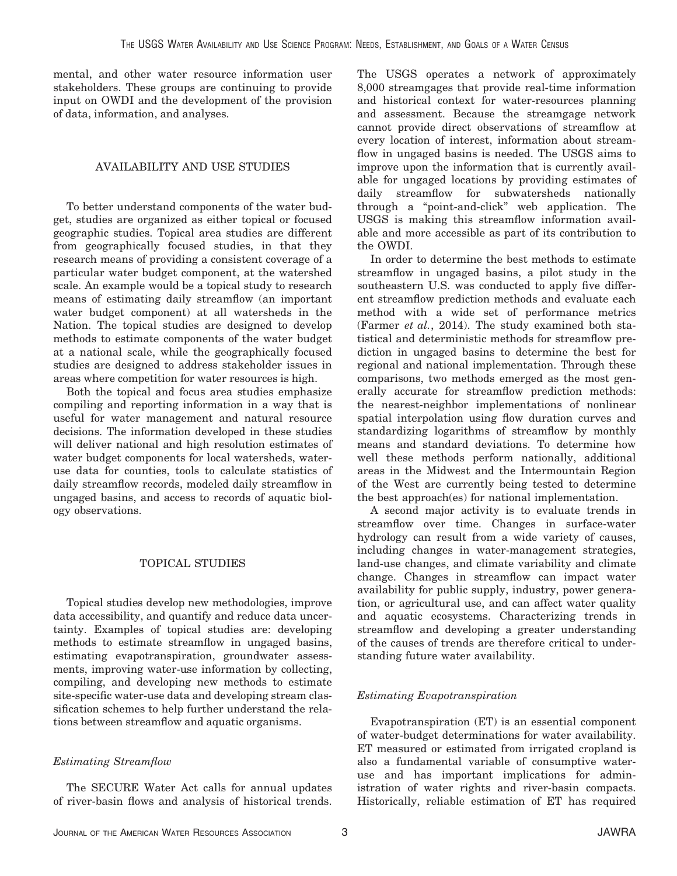mental, and other water resource information user stakeholders. These groups are continuing to provide input on OWDI and the development of the provision of data, information, and analyses.

## AVAILABILITY AND USE STUDIES

To better understand components of the water budget, studies are organized as either topical or focused geographic studies. Topical area studies are different from geographically focused studies, in that they research means of providing a consistent coverage of a particular water budget component, at the watershed scale. An example would be a topical study to research means of estimating daily streamflow (an important water budget component) at all watersheds in the Nation. The topical studies are designed to develop methods to estimate components of the water budget at a national scale, while the geographically focused studies are designed to address stakeholder issues in areas where competition for water resources is high.

Both the topical and focus area studies emphasize compiling and reporting information in a way that is useful for water management and natural resource decisions. The information developed in these studies will deliver national and high resolution estimates of water budget components for local watersheds, wateruse data for counties, tools to calculate statistics of daily streamflow records, modeled daily streamflow in ungaged basins, and access to records of aquatic biology observations.

# TOPICAL STUDIES

Topical studies develop new methodologies, improve data accessibility, and quantify and reduce data uncertainty. Examples of topical studies are: developing methods to estimate streamflow in ungaged basins, estimating evapotranspiration, groundwater assessments, improving water-use information by collecting, compiling, and developing new methods to estimate site-specific water-use data and developing stream classification schemes to help further understand the relations between streamflow and aquatic organisms.

# Estimating Streamflow

The SECURE Water Act calls for annual updates of river-basin flows and analysis of historical trends. The USGS operates a network of approximately 8,000 streamgages that provide real-time information and historical context for water-resources planning and assessment. Because the streamgage network cannot provide direct observations of streamflow at every location of interest, information about streamflow in ungaged basins is needed. The USGS aims to improve upon the information that is currently available for ungaged locations by providing estimates of daily streamflow for subwatersheds nationally through a "point-and-click" web application. The USGS is making this streamflow information available and more accessible as part of its contribution to the OWDI.

In order to determine the best methods to estimate streamflow in ungaged basins, a pilot study in the southeastern U.S. was conducted to apply five different streamflow prediction methods and evaluate each method with a wide set of performance metrics (Farmer et al., 2014). The study examined both statistical and deterministic methods for streamflow prediction in ungaged basins to determine the best for regional and national implementation. Through these comparisons, two methods emerged as the most generally accurate for streamflow prediction methods: the nearest-neighbor implementations of nonlinear spatial interpolation using flow duration curves and standardizing logarithms of streamflow by monthly means and standard deviations. To determine how well these methods perform nationally, additional areas in the Midwest and the Intermountain Region of the West are currently being tested to determine the best approach(es) for national implementation.

A second major activity is to evaluate trends in streamflow over time. Changes in surface-water hydrology can result from a wide variety of causes, including changes in water-management strategies, land-use changes, and climate variability and climate change. Changes in streamflow can impact water availability for public supply, industry, power generation, or agricultural use, and can affect water quality and aquatic ecosystems. Characterizing trends in streamflow and developing a greater understanding of the causes of trends are therefore critical to understanding future water availability.

## Estimating Evapotranspiration

Evapotranspiration (ET) is an essential component of water-budget determinations for water availability. ET measured or estimated from irrigated cropland is also a fundamental variable of consumptive wateruse and has important implications for administration of water rights and river-basin compacts. Historically, reliable estimation of ET has required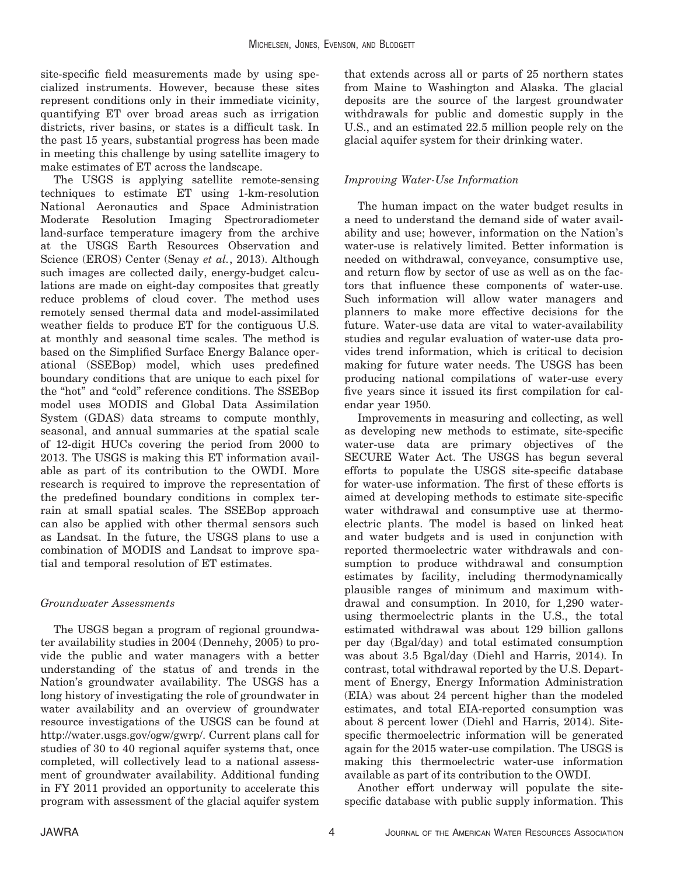site-specific field measurements made by using specialized instruments. However, because these sites represent conditions only in their immediate vicinity, quantifying ET over broad areas such as irrigation districts, river basins, or states is a difficult task. In the past 15 years, substantial progress has been made in meeting this challenge by using satellite imagery to make estimates of ET across the landscape.

The USGS is applying satellite remote-sensing techniques to estimate ET using 1-km-resolution National Aeronautics and Space Administration Moderate Resolution Imaging Spectroradiometer land-surface temperature imagery from the archive at the USGS Earth Resources Observation and Science (EROS) Center (Senay *et al.*, 2013). Although such images are collected daily, energy-budget calculations are made on eight-day composites that greatly reduce problems of cloud cover. The method uses remotely sensed thermal data and model-assimilated weather fields to produce ET for the contiguous U.S. at monthly and seasonal time scales. The method is based on the Simplified Surface Energy Balance operational (SSEBop) model, which uses predefined boundary conditions that are unique to each pixel for the "hot" and "cold" reference conditions. The SSEBop model uses MODIS and Global Data Assimilation System (GDAS) data streams to compute monthly, seasonal, and annual summaries at the spatial scale of 12-digit HUCs covering the period from 2000 to 2013. The USGS is making this ET information available as part of its contribution to the OWDI. More research is required to improve the representation of the predefined boundary conditions in complex terrain at small spatial scales. The SSEBop approach can also be applied with other thermal sensors such as Landsat. In the future, the USGS plans to use a combination of MODIS and Landsat to improve spatial and temporal resolution of ET estimates.

#### Groundwater Assessments

The USGS began a program of regional groundwater availability studies in 2004 (Dennehy, 2005) to provide the public and water managers with a better understanding of the status of and trends in the Nation's groundwater availability. The USGS has a long history of investigating the role of groundwater in water availability and an overview of groundwater resource investigations of the USGS can be found at <http://water.usgs.gov/ogw/gwrp/>. Current plans call for studies of 30 to 40 regional aquifer systems that, once completed, will collectively lead to a national assessment of groundwater availability. Additional funding in FY 2011 provided an opportunity to accelerate this program with assessment of the glacial aquifer system that extends across all or parts of 25 northern states from Maine to Washington and Alaska. The glacial deposits are the source of the largest groundwater withdrawals for public and domestic supply in the U.S., and an estimated 22.5 million people rely on the glacial aquifer system for their drinking water.

## Improving Water-Use Information

The human impact on the water budget results in a need to understand the demand side of water availability and use; however, information on the Nation's water-use is relatively limited. Better information is needed on withdrawal, conveyance, consumptive use, and return flow by sector of use as well as on the factors that influence these components of water-use. Such information will allow water managers and planners to make more effective decisions for the future. Water-use data are vital to water-availability studies and regular evaluation of water-use data provides trend information, which is critical to decision making for future water needs. The USGS has been producing national compilations of water-use every five years since it issued its first compilation for calendar year 1950.

Improvements in measuring and collecting, as well as developing new methods to estimate, site-specific water-use data are primary objectives of the SECURE Water Act. The USGS has begun several efforts to populate the USGS site-specific database for water-use information. The first of these efforts is aimed at developing methods to estimate site-specific water withdrawal and consumptive use at thermoelectric plants. The model is based on linked heat and water budgets and is used in conjunction with reported thermoelectric water withdrawals and consumption to produce withdrawal and consumption estimates by facility, including thermodynamically plausible ranges of minimum and maximum withdrawal and consumption. In 2010, for 1,290 waterusing thermoelectric plants in the U.S., the total estimated withdrawal was about 129 billion gallons per day (Bgal/day) and total estimated consumption was about 3.5 Bgal/day (Diehl and Harris, 2014). In contrast, total withdrawal reported by the U.S. Department of Energy, Energy Information Administration (EIA) was about 24 percent higher than the modeled estimates, and total EIA-reported consumption was about 8 percent lower (Diehl and Harris, 2014). Sitespecific thermoelectric information will be generated again for the 2015 water-use compilation. The USGS is making this thermoelectric water-use information available as part of its contribution to the OWDI.

Another effort underway will populate the sitespecific database with public supply information. This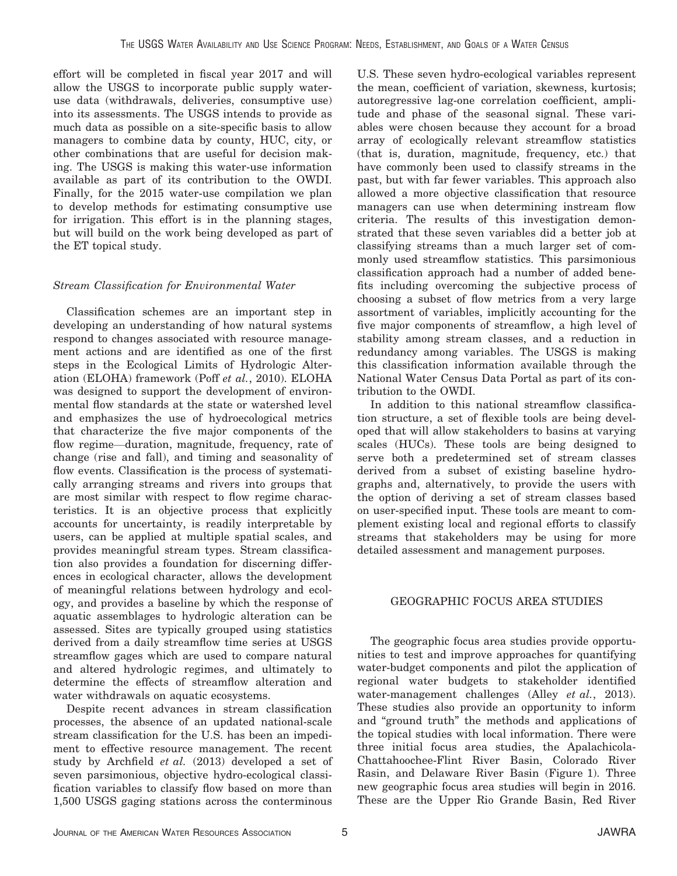effort will be completed in fiscal year 2017 and will allow the USGS to incorporate public supply wateruse data (withdrawals, deliveries, consumptive use) into its assessments. The USGS intends to provide as much data as possible on a site-specific basis to allow managers to combine data by county, HUC, city, or other combinations that are useful for decision making. The USGS is making this water-use information available as part of its contribution to the OWDI. Finally, for the 2015 water-use compilation we plan to develop methods for estimating consumptive use for irrigation. This effort is in the planning stages, but will build on the work being developed as part of the ET topical study.

## Stream Classification for Environmental Water

Classification schemes are an important step in developing an understanding of how natural systems respond to changes associated with resource management actions and are identified as one of the first steps in the Ecological Limits of Hydrologic Alteration (ELOHA) framework (Poff et al., 2010). ELOHA was designed to support the development of environmental flow standards at the state or watershed level and emphasizes the use of hydroecological metrics that characterize the five major components of the flow regime—duration, magnitude, frequency, rate of change (rise and fall), and timing and seasonality of flow events. Classification is the process of systematically arranging streams and rivers into groups that are most similar with respect to flow regime characteristics. It is an objective process that explicitly accounts for uncertainty, is readily interpretable by users, can be applied at multiple spatial scales, and provides meaningful stream types. Stream classification also provides a foundation for discerning differences in ecological character, allows the development of meaningful relations between hydrology and ecology, and provides a baseline by which the response of aquatic assemblages to hydrologic alteration can be assessed. Sites are typically grouped using statistics derived from a daily streamflow time series at USGS streamflow gages which are used to compare natural and altered hydrologic regimes, and ultimately to determine the effects of streamflow alteration and water withdrawals on aquatic ecosystems.

Despite recent advances in stream classification processes, the absence of an updated national-scale stream classification for the U.S. has been an impediment to effective resource management. The recent study by Archfield et al. (2013) developed a set of seven parsimonious, objective hydro-ecological classification variables to classify flow based on more than 1,500 USGS gaging stations across the conterminous U.S. These seven hydro-ecological variables represent the mean, coefficient of variation, skewness, kurtosis; autoregressive lag-one correlation coefficient, amplitude and phase of the seasonal signal. These variables were chosen because they account for a broad array of ecologically relevant streamflow statistics (that is, duration, magnitude, frequency, etc.) that have commonly been used to classify streams in the past, but with far fewer variables. This approach also allowed a more objective classification that resource managers can use when determining instream flow criteria. The results of this investigation demonstrated that these seven variables did a better job at classifying streams than a much larger set of commonly used streamflow statistics. This parsimonious classification approach had a number of added benefits including overcoming the subjective process of choosing a subset of flow metrics from a very large assortment of variables, implicitly accounting for the five major components of streamflow, a high level of stability among stream classes, and a reduction in redundancy among variables. The USGS is making this classification information available through the National Water Census Data Portal as part of its contribution to the OWDI.

In addition to this national streamflow classification structure, a set of flexible tools are being developed that will allow stakeholders to basins at varying scales (HUCs). These tools are being designed to serve both a predetermined set of stream classes derived from a subset of existing baseline hydrographs and, alternatively, to provide the users with the option of deriving a set of stream classes based on user-specified input. These tools are meant to complement existing local and regional efforts to classify streams that stakeholders may be using for more detailed assessment and management purposes.

## GEOGRAPHIC FOCUS AREA STUDIES

The geographic focus area studies provide opportunities to test and improve approaches for quantifying water-budget components and pilot the application of regional water budgets to stakeholder identified water-management challenges (Alley *et al.*, 2013). These studies also provide an opportunity to inform and "ground truth" the methods and applications of the topical studies with local information. There were three initial focus area studies, the Apalachicola-Chattahoochee-Flint River Basin, Colorado River Rasin, and Delaware River Basin (Figure 1). Three new geographic focus area studies will begin in 2016. These are the Upper Rio Grande Basin, Red River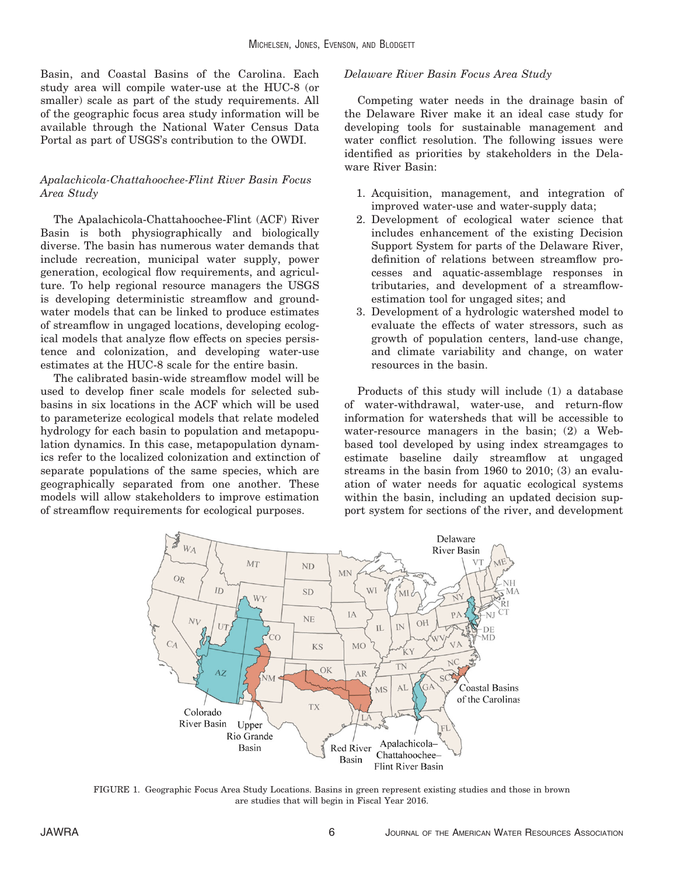Basin, and Coastal Basins of the Carolina. Each study area will compile water-use at the HUC-8 (or smaller) scale as part of the study requirements. All of the geographic focus area study information will be available through the National Water Census Data Portal as part of USGS's contribution to the OWDI.

#### Apalachicola-Chattahoochee-Flint River Basin Focus Area Study

The Apalachicola-Chattahoochee-Flint (ACF) River Basin is both physiographically and biologically diverse. The basin has numerous water demands that include recreation, municipal water supply, power generation, ecological flow requirements, and agriculture. To help regional resource managers the USGS is developing deterministic streamflow and groundwater models that can be linked to produce estimates of streamflow in ungaged locations, developing ecological models that analyze flow effects on species persistence and colonization, and developing water-use estimates at the HUC-8 scale for the entire basin.

The calibrated basin-wide streamflow model will be used to develop finer scale models for selected subbasins in six locations in the ACF which will be used to parameterize ecological models that relate modeled hydrology for each basin to population and metapopulation dynamics. In this case, metapopulation dynamics refer to the localized colonization and extinction of separate populations of the same species, which are geographically separated from one another. These models will allow stakeholders to improve estimation of streamflow requirements for ecological purposes.

#### Delaware River Basin Focus Area Study

Competing water needs in the drainage basin of the Delaware River make it an ideal case study for developing tools for sustainable management and water conflict resolution. The following issues were identified as priorities by stakeholders in the Delaware River Basin:

- 1. Acquisition, management, and integration of improved water-use and water-supply data;
- 2. Development of ecological water science that includes enhancement of the existing Decision Support System for parts of the Delaware River, definition of relations between streamflow processes and aquatic-assemblage responses in tributaries, and development of a streamflowestimation tool for ungaged sites; and
- 3. Development of a hydrologic watershed model to evaluate the effects of water stressors, such as growth of population centers, land-use change, and climate variability and change, on water resources in the basin.

Products of this study will include (1) a database of water-withdrawal, water-use, and return-flow information for watersheds that will be accessible to water-resource managers in the basin; (2) a Webbased tool developed by using index streamgages to estimate baseline daily streamflow at ungaged streams in the basin from 1960 to 2010; (3) an evaluation of water needs for aquatic ecological systems within the basin, including an updated decision support system for sections of the river, and development



FIGURE 1. Geographic Focus Area Study Locations. Basins in green represent existing studies and those in brown are studies that will begin in Fiscal Year 2016.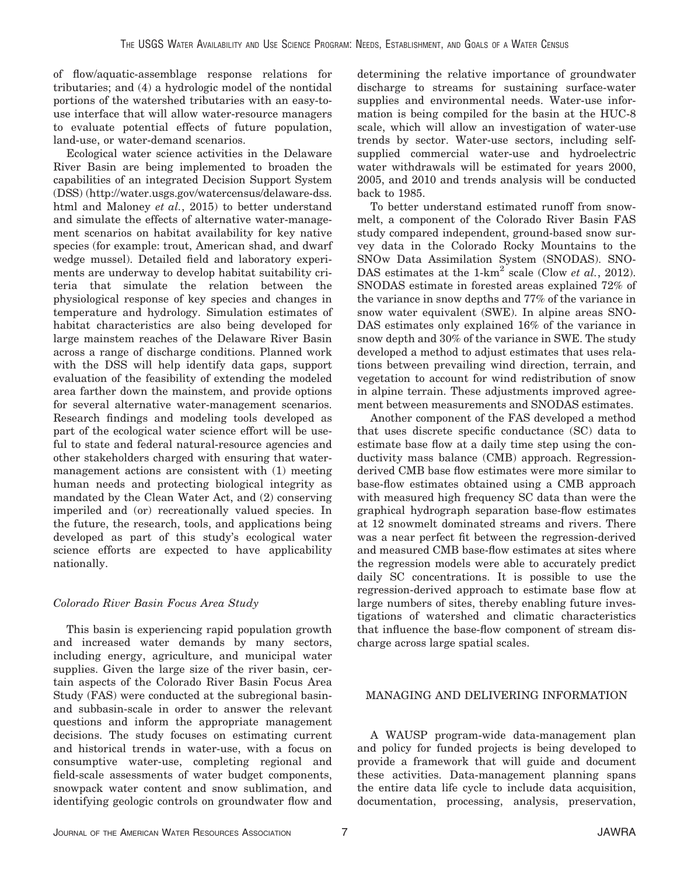of flow/aquatic-assemblage response relations for tributaries; and (4) a hydrologic model of the nontidal portions of the watershed tributaries with an easy-touse interface that will allow water-resource managers to evaluate potential effects of future population, land-use, or water-demand scenarios.

Ecological water science activities in the Delaware River Basin are being implemented to broaden the capabilities of an integrated Decision Support System (DSS) ([http://water.usgs.gov/watercensus/delaware-dss.](http://water.usgs.gov/watercensus/delaware-dss.html) [html](http://water.usgs.gov/watercensus/delaware-dss.html) and Maloney et al., 2015) to better understand and simulate the effects of alternative water-management scenarios on habitat availability for key native species (for example: trout, American shad, and dwarf wedge mussel). Detailed field and laboratory experiments are underway to develop habitat suitability criteria that simulate the relation between the physiological response of key species and changes in temperature and hydrology. Simulation estimates of habitat characteristics are also being developed for large mainstem reaches of the Delaware River Basin across a range of discharge conditions. Planned work with the DSS will help identify data gaps, support evaluation of the feasibility of extending the modeled area farther down the mainstem, and provide options for several alternative water-management scenarios. Research findings and modeling tools developed as part of the ecological water science effort will be useful to state and federal natural-resource agencies and other stakeholders charged with ensuring that watermanagement actions are consistent with (1) meeting human needs and protecting biological integrity as mandated by the Clean Water Act, and (2) conserving imperiled and (or) recreationally valued species. In the future, the research, tools, and applications being developed as part of this study's ecological water science efforts are expected to have applicability nationally.

# Colorado River Basin Focus Area Study

This basin is experiencing rapid population growth and increased water demands by many sectors, including energy, agriculture, and municipal water supplies. Given the large size of the river basin, certain aspects of the Colorado River Basin Focus Area Study (FAS) were conducted at the subregional basinand subbasin-scale in order to answer the relevant questions and inform the appropriate management decisions. The study focuses on estimating current and historical trends in water-use, with a focus on consumptive water-use, completing regional and field-scale assessments of water budget components, snowpack water content and snow sublimation, and identifying geologic controls on groundwater flow and

determining the relative importance of groundwater discharge to streams for sustaining surface-water supplies and environmental needs. Water-use information is being compiled for the basin at the HUC-8 scale, which will allow an investigation of water-use trends by sector. Water-use sectors, including selfsupplied commercial water-use and hydroelectric water withdrawals will be estimated for years 2000, 2005, and 2010 and trends analysis will be conducted back to 1985.

To better understand estimated runoff from snowmelt, a component of the Colorado River Basin FAS study compared independent, ground-based snow survey data in the Colorado Rocky Mountains to the SNOw Data Assimilation System (SNODAS). SNO-DAS estimates at the  $1-\text{km}^2$  scale (Clow *et al.*, 2012). SNODAS estimate in forested areas explained 72% of the variance in snow depths and 77% of the variance in snow water equivalent (SWE). In alpine areas SNO-DAS estimates only explained 16% of the variance in snow depth and 30% of the variance in SWE. The study developed a method to adjust estimates that uses relations between prevailing wind direction, terrain, and vegetation to account for wind redistribution of snow in alpine terrain. These adjustments improved agreement between measurements and SNODAS estimates.

Another component of the FAS developed a method that uses discrete specific conductance (SC) data to estimate base flow at a daily time step using the conductivity mass balance (CMB) approach. Regressionderived CMB base flow estimates were more similar to base-flow estimates obtained using a CMB approach with measured high frequency SC data than were the graphical hydrograph separation base-flow estimates at 12 snowmelt dominated streams and rivers. There was a near perfect fit between the regression-derived and measured CMB base-flow estimates at sites where the regression models were able to accurately predict daily SC concentrations. It is possible to use the regression-derived approach to estimate base flow at large numbers of sites, thereby enabling future investigations of watershed and climatic characteristics that influence the base-flow component of stream discharge across large spatial scales.

## MANAGING AND DELIVERING INFORMATION

A WAUSP program-wide data-management plan and policy for funded projects is being developed to provide a framework that will guide and document these activities. Data-management planning spans the entire data life cycle to include data acquisition, documentation, processing, analysis, preservation,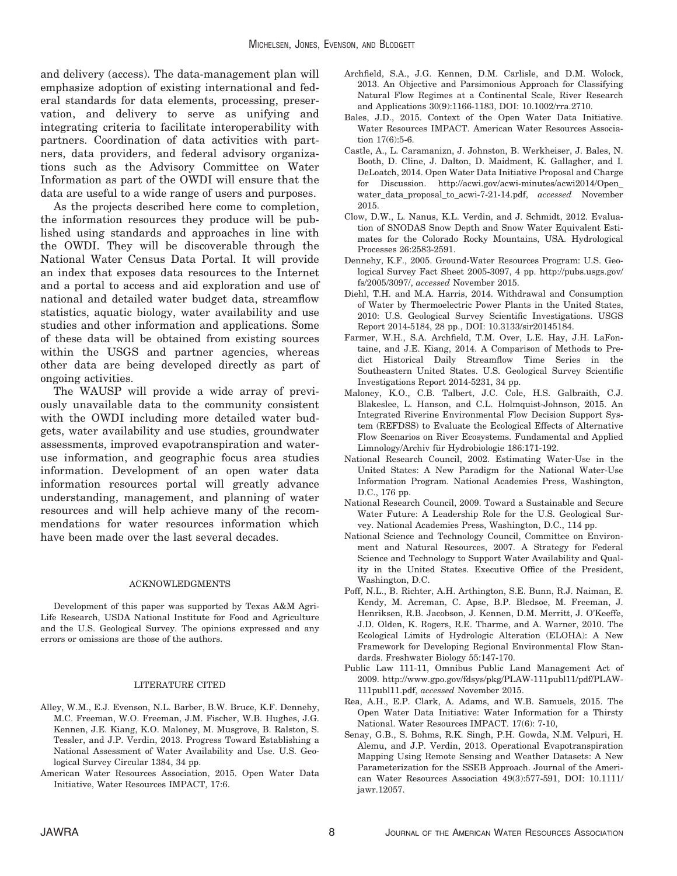and delivery (access). The data-management plan will emphasize adoption of existing international and federal standards for data elements, processing, preservation, and delivery to serve as unifying and integrating criteria to facilitate interoperability with partners. Coordination of data activities with partners, data providers, and federal advisory organizations such as the Advisory Committee on Water Information as part of the OWDI will ensure that the data are useful to a wide range of users and purposes.

As the projects described here come to completion, the information resources they produce will be published using standards and approaches in line with the OWDI. They will be discoverable through the National Water Census Data Portal. It will provide an index that exposes data resources to the Internet and a portal to access and aid exploration and use of national and detailed water budget data, streamflow statistics, aquatic biology, water availability and use studies and other information and applications. Some of these data will be obtained from existing sources within the USGS and partner agencies, whereas other data are being developed directly as part of ongoing activities.

The WAUSP will provide a wide array of previously unavailable data to the community consistent with the OWDI including more detailed water budgets, water availability and use studies, groundwater assessments, improved evapotranspiration and wateruse information, and geographic focus area studies information. Development of an open water data information resources portal will greatly advance understanding, management, and planning of water resources and will help achieve many of the recommendations for water resources information which have been made over the last several decades.

#### ACKNOWLEDGMENTS

Development of this paper was supported by Texas A&M Agri-Life Research, USDA National Institute for Food and Agriculture and the U.S. Geological Survey. The opinions expressed and any errors or omissions are those of the authors.

#### LITERATURE CITED

- Alley, W.M., E.J. Evenson, N.L. Barber, B.W. Bruce, K.F. Dennehy, M.C. Freeman, W.O. Freeman, J.M. Fischer, W.B. Hughes, J.G. Kennen, J.E. Kiang, K.O. Maloney, M. Musgrove, B. Ralston, S. Tessler, and J.P. Verdin, 2013. Progress Toward Establishing a National Assessment of Water Availability and Use. U.S. Geological Survey Circular 1384, 34 pp.
- American Water Resources Association, 2015. Open Water Data Initiative, Water Resources IMPACT, 17:6.
- Archfield, S.A., J.G. Kennen, D.M. Carlisle, and D.M. Wolock, 2013. An Objective and Parsimonious Approach for Classifying Natural Flow Regimes at a Continental Scale, River Research and Applications 30(9):1166-1183, DOI: [10.1002/rra.2710](http://dx.doi.org/10.1002/rra.2710).
- Bales, J.D., 2015. Context of the Open Water Data Initiative. Water Resources IMPACT. American Water Resources Association 17(6):5-6.
- Castle, A., L. Caramanizn, J. Johnston, B. Werkheiser, J. Bales, N. Booth, D. Cline, J. Dalton, D. Maidment, K. Gallagher, and I. DeLoatch, 2014. Open Water Data Initiative Proposal and Charge for Discussion. [http://acwi.gov/acwi-minutes/acwi2014/Open\\_](http://acwi.gov/acwi-minutes/acwi2014/Open_water_data_proposal_to_acwi-7-21-14.pdf) [water\\_data\\_proposal\\_to\\_acwi-7-21-14.pdf,](http://acwi.gov/acwi-minutes/acwi2014/Open_water_data_proposal_to_acwi-7-21-14.pdf) accessed November 2015.
- Clow, D.W., L. Nanus, K.L. Verdin, and J. Schmidt, 2012. Evaluation of SNODAS Snow Depth and Snow Water Equivalent Estimates for the Colorado Rocky Mountains, USA. Hydrological Processes 26:2583-2591.
- Dennehy, K.F., 2005. Ground-Water Resources Program: U.S. Geological Survey Fact Sheet 2005-3097, 4 pp. [http://pubs.usgs.gov/](http://pubs.usgs.gov/fs/2005/3097/) [fs/2005/3097/,](http://pubs.usgs.gov/fs/2005/3097/) accessed November 2015.
- Diehl, T.H. and M.A. Harris, 2014. Withdrawal and Consumption of Water by Thermoelectric Power Plants in the United States, 2010: U.S. Geological Survey Scientific Investigations. USGS Report 2014-5184, 28 pp., DOI: [10.3133/sir20145184](http://dx.doi.org/10.3133/sir20145184).
- Farmer, W.H., S.A. Archfield, T.M. Over, L.E. Hay, J.H. LaFontaine, and J.E. Kiang, 2014. A Comparison of Methods to Predict Historical Daily Streamflow Time Series in the Southeastern United States. U.S. Geological Survey Scientific Investigations Report 2014-5231, 34 pp.
- Maloney, K.O., C.B. Talbert, J.C. Cole, H.S. Galbraith, C.J. Blakeslee, L. Hanson, and C.L. Holmquist-Johnson, 2015. An Integrated Riverine Environmental Flow Decision Support System (REFDSS) to Evaluate the Ecological Effects of Alternative Flow Scenarios on River Ecosystems. Fundamental and Applied Limnology/Archiv für Hydrobiologie 186:171-192.
- National Research Council, 2002. Estimating Water-Use in the United States: A New Paradigm for the National Water-Use Information Program. National Academies Press, Washington, D.C., 176 pp.
- National Research Council, 2009. Toward a Sustainable and Secure Water Future: A Leadership Role for the U.S. Geological Survey. National Academies Press, Washington, D.C., 114 pp.
- National Science and Technology Council, Committee on Environment and Natural Resources, 2007. A Strategy for Federal Science and Technology to Support Water Availability and Quality in the United States. Executive Office of the President, Washington, D.C.
- Poff, N.L., B. Richter, A.H. Arthington, S.E. Bunn, R.J. Naiman, E. Kendy, M. Acreman, C. Apse, B.P. Bledsoe, M. Freeman, J. Henriksen, R.B. Jacobson, J. Kennen, D.M. Merritt, J. O'Keeffe, J.D. Olden, K. Rogers, R.E. Tharme, and A. Warner, 2010. The Ecological Limits of Hydrologic Alteration (ELOHA): A New Framework for Developing Regional Environmental Flow Standards. Freshwater Biology 55:147-170.
- Public Law 111-11, Omnibus Public Land Management Act of 2009. [http://www.gpo.gov/fdsys/pkg/PLAW-111publ11/pdf/PLAW-](http://www.gpo.gov/fdsys/pkg/PLAW-111publ11/pdf/PLAW-111publ11.pdf)[111publ11.pdf,](http://www.gpo.gov/fdsys/pkg/PLAW-111publ11/pdf/PLAW-111publ11.pdf) accessed November 2015.
- Rea, A.H., E.P. Clark, A. Adams, and W.B. Samuels, 2015. The Open Water Data Initiative: Water Information for a Thirsty National. Water Resources IMPACT. 17(6): 7-10,
- Senay, G.B., S. Bohms, R.K. Singh, P.H. Gowda, N.M. Velpuri, H. Alemu, and J.P. Verdin, 2013. Operational Evapotranspiration Mapping Using Remote Sensing and Weather Datasets: A New Parameterization for the SSEB Approach. Journal of the American Water Resources Association 49(3):577-591, DOI: [10.1111/](http://dx.doi.org/10.1111/jawr.12057) [jawr.12057](http://dx.doi.org/10.1111/jawr.12057).